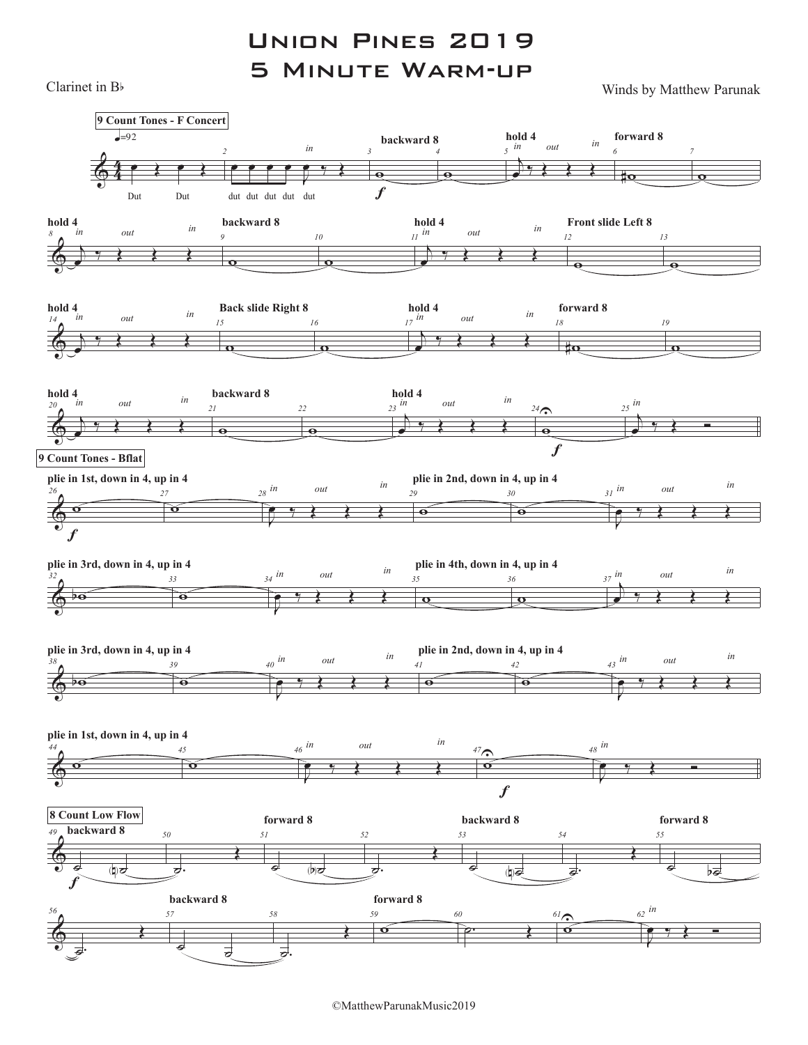Union Pines 2019 5 Minute Warm-up

Clarinet in  $B$  Winds by Matthew Parunak



©MatthewParunakMusic2019